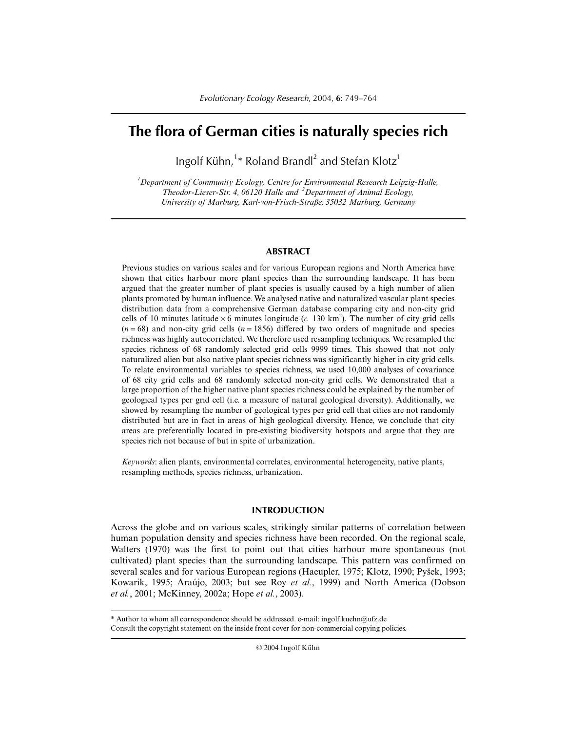# **The flora of German cities is naturally species rich**

Ingolf Kühn,<sup>1\*</sup> Roland Brandl<sup>2</sup> and Stefan Klotz<sup>1</sup>

*1 Department of Community Ecology, Centre for Environmental Research Leipzig-Halle, Theodor-Lieser-Str. 4, 06120 Halle and <sup>2</sup> Department of Animal Ecology, University of Marburg, Karl-von-Frisch-Straße, 35032 Marburg, Germany*

# **ABSTRACT**

Previous studies on various scales and for various European regions and North America have shown that cities harbour more plant species than the surrounding landscape. It has been argued that the greater number of plant species is usually caused by a high number of alien plants promoted by human influence. We analysed native and naturalized vascular plant species distribution data from a comprehensive German database comparing city and non-city grid cells of 10 minutes latitude  $\times$  6 minutes longitude (*c.* 130 km<sup>2</sup>). The number of city grid cells  $(n = 68)$  and non-city grid cells  $(n = 1856)$  differed by two orders of magnitude and species richness was highly autocorrelated. We therefore used resampling techniques. We resampled the species richness of 68 randomly selected grid cells 9999 times. This showed that not only naturalized alien but also native plant species richness was significantly higher in city grid cells. To relate environmental variables to species richness, we used 10,000 analyses of covariance of 68 city grid cells and 68 randomly selected non-city grid cells. We demonstrated that a large proportion of the higher native plant species richness could be explained by the number of geological types per grid cell (i.e. a measure of natural geological diversity). Additionally, we showed by resampling the number of geological types per grid cell that cities are not randomly distributed but are in fact in areas of high geological diversity. Hence, we conclude that city areas are preferentially located in pre-existing biodiversity hotspots and argue that they are species rich not because of but in spite of urbanization.

*Keywords*: alien plants, environmental correlates, environmental heterogeneity, native plants, resampling methods, species richness, urbanization.

# **INTRODUCTION**

Across the globe and on various scales, strikingly similar patterns of correlation between human population density and species richness have been recorded. On the regional scale, Walters (1970) was the first to point out that cities harbour more spontaneous (not cultivated) plant species than the surrounding landscape. This pattern was confirmed on several scales and for various European regions (Haeupler, 1975; Klotz, 1990; Pyšek, 1993; Kowarik, 1995; Araújo, 2003; but see Roy *et al.*, 1999) and North America (Dobson *et al.*, 2001; McKinney, 2002a; Hope *et al.*, 2003).

<sup>\*</sup> Author to whom all correspondence should be addressed. e-mail: ingolf.kuehn@ufz.de Consult the copyright statement on the inside front cover for non-commercial copying policies.

<sup>© 2004</sup> Ingolf Kühn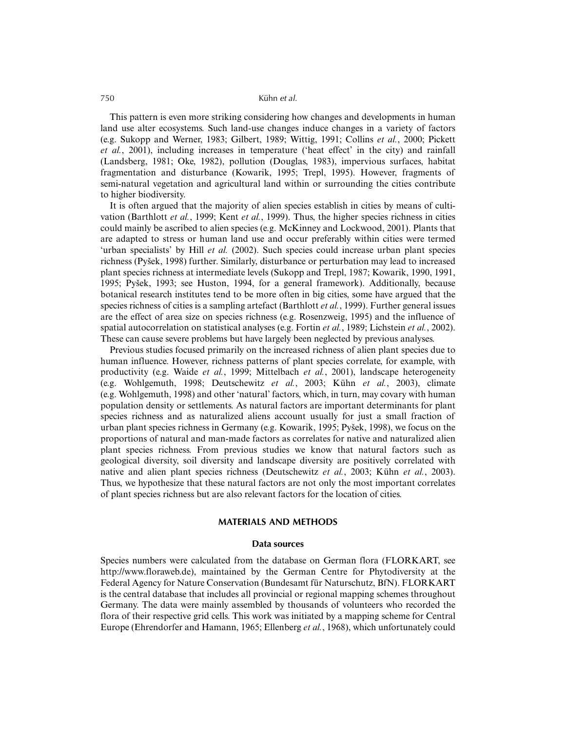This pattern is even more striking considering how changes and developments in human land use alter ecosystems. Such land-use changes induce changes in a variety of factors (e.g. Sukopp and Werner, 1983; Gilbert, 1989; Wittig, 1991; Collins *et al.*, 2000; Pickett *et al.*, 2001), including increases in temperature ('heat effect' in the city) and rainfall (Landsberg, 1981; Oke, 1982), pollution (Douglas, 1983), impervious surfaces, habitat fragmentation and disturbance (Kowarik, 1995; Trepl, 1995). However, fragments of semi-natural vegetation and agricultural land within or surrounding the cities contribute to higher biodiversity.

It is often argued that the majority of alien species establish in cities by means of cultivation (Barthlott *et al.*, 1999; Kent *et al.*, 1999). Thus, the higher species richness in cities could mainly be ascribed to alien species (e.g. McKinney and Lockwood, 2001). Plants that are adapted to stress or human land use and occur preferably within cities were termed 'urban specialists' by Hill *et al.* (2002). Such species could increase urban plant species richness (Pyšek, 1998) further. Similarly, disturbance or perturbation may lead to increased plant species richness at intermediate levels (Sukopp and Trepl, 1987; Kowarik, 1990, 1991, 1995; Pyšek, 1993; see Huston, 1994, for a general framework). Additionally, because botanical research institutes tend to be more often in big cities, some have argued that the species richness of cities is a sampling artefact (Barthlott *et al.*, 1999). Further general issues are the effect of area size on species richness (e.g. Rosenzweig, 1995) and the influence of spatial autocorrelation on statistical analyses (e.g. Fortin *et al.*, 1989; Lichstein *et al.*, 2002). These can cause severe problems but have largely been neglected by previous analyses.

Previous studies focused primarily on the increased richness of alien plant species due to human influence. However, richness patterns of plant species correlate, for example, with productivity (e.g. Waide *et al.*, 1999; Mittelbach *et al.*, 2001), landscape heterogeneity (e.g. Wohlgemuth, 1998; Deutschewitz *et al.*, 2003; Kühn *et al.*, 2003), climate (e.g. Wohlgemuth, 1998) and other 'natural' factors, which, in turn, may covary with human population density or settlements. As natural factors are important determinants for plant species richness and as naturalized aliens account usually for just a small fraction of urban plant species richness in Germany (e.g. Kowarik, 1995; Pyšek, 1998), we focus on the proportions of natural and man-made factors as correlates for native and naturalized alien plant species richness. From previous studies we know that natural factors such as geological diversity, soil diversity and landscape diversity are positively correlated with native and alien plant species richness (Deutschewitz *et al.*, 2003; Kühn *et al.*, 2003). Thus, we hypothesize that these natural factors are not only the most important correlates of plant species richness but are also relevant factors for the location of cities.

# **MATERIALS AND METHODS**

### **Data sources**

Species numbers were calculated from the database on German flora (FLORKART, see http://www.floraweb.de), maintained by the German Centre for Phytodiversity at the Federal Agency for Nature Conservation (Bundesamt für Naturschutz, BfN). FLORKART is the central database that includes all provincial or regional mapping schemes throughout Germany. The data were mainly assembled by thousands of volunteers who recorded the flora of their respective grid cells. This work was initiated by a mapping scheme for Central Europe (Ehrendorfer and Hamann, 1965; Ellenberg *et al.*, 1968), which unfortunately could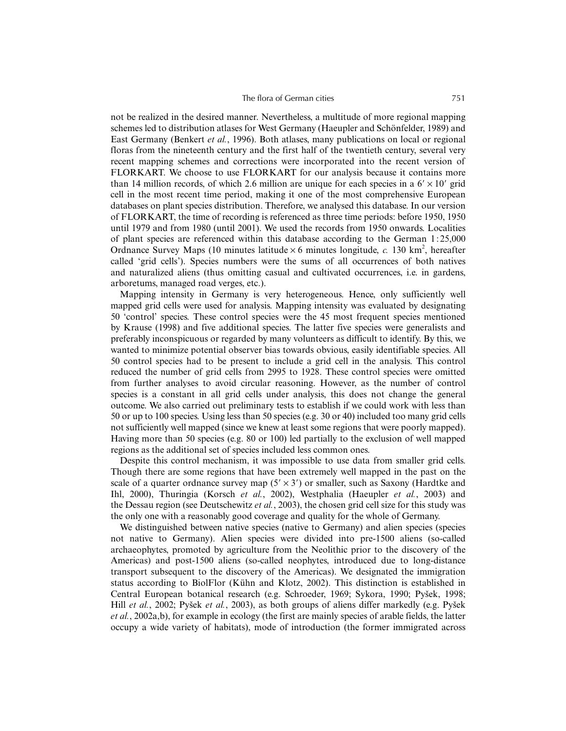not be realized in the desired manner. Nevertheless, a multitude of more regional mapping schemes led to distribution atlases for West Germany (Haeupler and Schönfelder, 1989) and East Germany (Benkert *et al.*, 1996). Both atlases, many publications on local or regional floras from the nineteenth century and the first half of the twentieth century, several very recent mapping schemes and corrections were incorporated into the recent version of FLORKART. We choose to use FLORKART for our analysis because it contains more than 14 million records, of which 2.6 million are unique for each species in a  $6' \times 10'$  grid cell in the most recent time period, making it one of the most comprehensive European databases on plant species distribution. Therefore, we analysed this database. In our version of FLORKART, the time of recording is referenced as three time periods: before 1950, 1950 until 1979 and from 1980 (until 2001). We used the records from 1950 onwards. Localities of plant species are referenced within this database according to the German 1 : 25,000 Ordnance Survey Maps (10 minutes latitude  $\times$  6 minutes longitude, *c*. 130 km<sup>2</sup>, hereafter called 'grid cells'). Species numbers were the sums of all occurrences of both natives and naturalized aliens (thus omitting casual and cultivated occurrences, i.e. in gardens, arboretums, managed road verges, etc.).

Mapping intensity in Germany is very heterogeneous. Hence, only sufficiently well mapped grid cells were used for analysis. Mapping intensity was evaluated by designating 50 'control' species. These control species were the 45 most frequent species mentioned by Krause (1998) and five additional species. The latter five species were generalists and preferably inconspicuous or regarded by many volunteers as difficult to identify. By this, we wanted to minimize potential observer bias towards obvious, easily identifiable species. All 50 control species had to be present to include a grid cell in the analysis. This control reduced the number of grid cells from 2995 to 1928. These control species were omitted from further analyses to avoid circular reasoning. However, as the number of control species is a constant in all grid cells under analysis, this does not change the general outcome. We also carried out preliminary tests to establish if we could work with less than 50 or up to 100 species. Using less than 50 species (e.g. 30 or 40) included too many grid cells not sufficiently well mapped (since we knew at least some regions that were poorly mapped). Having more than 50 species (e.g. 80 or 100) led partially to the exclusion of well mapped regions as the additional set of species included less common ones.

Despite this control mechanism, it was impossible to use data from smaller grid cells. Though there are some regions that have been extremely well mapped in the past on the scale of a quarter ordnance survey map  $(5' \times 3')$  or smaller, such as Saxony (Hardtke and Ihl, 2000), Thuringia (Korsch *et al.*, 2002), Westphalia (Haeupler *et al.*, 2003) and the Dessau region (see Deutschewitz *et al.*, 2003), the chosen grid cell size for this study was the only one with a reasonably good coverage and quality for the whole of Germany.

We distinguished between native species (native to Germany) and alien species (species not native to Germany). Alien species were divided into pre-1500 aliens (so-called archaeophytes, promoted by agriculture from the Neolithic prior to the discovery of the Americas) and post-1500 aliens (so-called neophytes, introduced due to long-distance transport subsequent to the discovery of the Americas). We designated the immigration status according to BiolFlor (Kühn and Klotz, 2002). This distinction is established in Central European botanical research (e.g. Schroeder, 1969; Sykora, 1990; Pyšek, 1998; Hill *et al.*, 2002; Pyšek *et al.*, 2003), as both groups of aliens differ markedly (e.g. Pyšek *et al.*, 2002a,b), for example in ecology (the first are mainly species of arable fields, the latter occupy a wide variety of habitats), mode of introduction (the former immigrated across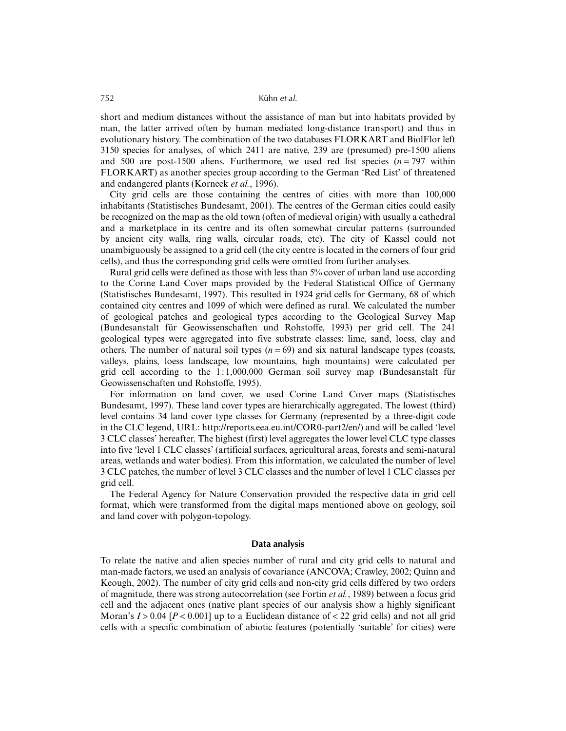short and medium distances without the assistance of man but into habitats provided by man, the latter arrived often by human mediated long-distance transport) and thus in evolutionary history. The combination of the two databases FLORKART and BiolFlor left 3150 species for analyses, of which 2411 are native, 239 are (presumed) pre-1500 aliens and 500 are post-1500 aliens. Furthermore, we used red list species  $(n = 797)$  within FLORKART) as another species group according to the German 'Red List' of threatened and endangered plants (Korneck *et al.*, 1996).

City grid cells are those containing the centres of cities with more than 100,000 inhabitants (Statistisches Bundesamt, 2001). The centres of the German cities could easily be recognized on the map as the old town (often of medieval origin) with usually a cathedral and a marketplace in its centre and its often somewhat circular patterns (surrounded by ancient city walls, ring walls, circular roads, etc). The city of Kassel could not unambiguously be assigned to a grid cell (the city centre is located in the corners of four grid cells), and thus the corresponding grid cells were omitted from further analyses.

Rural grid cells were defined as those with less than 5% cover of urban land use according to the Corine Land Cover maps provided by the Federal Statistical Office of Germany (Statistisches Bundesamt, 1997). This resulted in 1924 grid cells for Germany, 68 of which contained city centres and 1099 of which were defined as rural. We calculated the number of geological patches and geological types according to the Geological Survey Map (Bundesanstalt für Geowissenschaften und Rohstoffe, 1993) per grid cell. The 241 geological types were aggregated into five substrate classes: lime, sand, loess, clay and others. The number of natural soil types  $(n = 69)$  and six natural landscape types (coasts, valleys, plains, loess landscape, low mountains, high mountains) were calculated per grid cell according to the  $1:1,000,000$  German soil survey map (Bundesanstalt für Geowissenschaften und Rohstoffe, 1995).

For information on land cover, we used Corine Land Cover maps (Statistisches Bundesamt, 1997). These land cover types are hierarchically aggregated. The lowest (third) level contains 34 land cover type classes for Germany (represented by a three-digit code in the CLC legend, URL: http://reports.eea.eu.int/COR0-part2/en/) and will be called 'level 3 CLC classes' hereafter. The highest (first) level aggregates the lower level CLC type classes into five 'level 1 CLC classes' (artificial surfaces, agricultural areas, forests and semi-natural areas, wetlands and water bodies). From this information, we calculated the number of level 3 CLC patches, the number of level 3 CLC classes and the number of level 1 CLC classes per grid cell.

The Federal Agency for Nature Conservation provided the respective data in grid cell format, which were transformed from the digital maps mentioned above on geology, soil and land cover with polygon-topology.

### **Data analysis**

To relate the native and alien species number of rural and city grid cells to natural and man-made factors, we used an analysis of covariance (ANCOVA; Crawley, 2002; Quinn and Keough, 2002). The number of city grid cells and non-city grid cells differed by two orders of magnitude, there was strong autocorrelation (see Fortin *et al.*, 1989) between a focus grid cell and the adjacent ones (native plant species of our analysis show a highly significant Moran's  $I > 0.04$  [ $P < 0.001$ ] up to a Euclidean distance of  $< 22$  grid cells) and not all grid cells with a specific combination of abiotic features (potentially 'suitable' for cities) were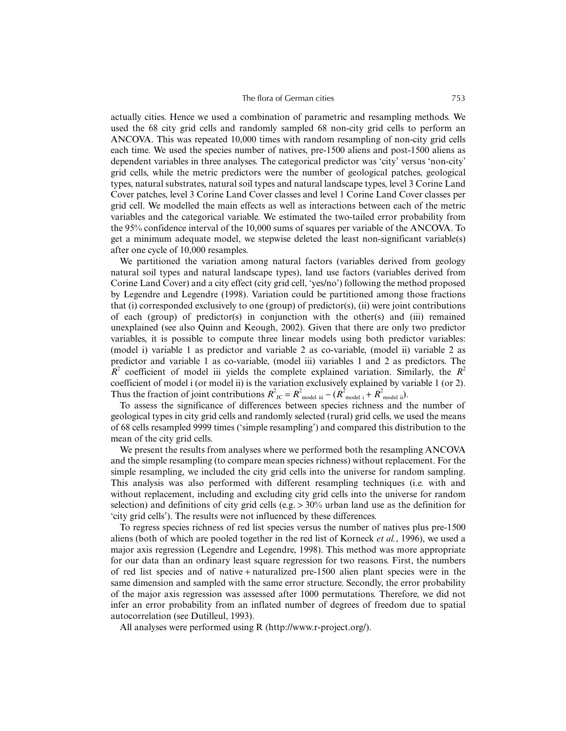actually cities. Hence we used a combination of parametric and resampling methods. We used the 68 city grid cells and randomly sampled 68 non-city grid cells to perform an ANCOVA. This was repeated 10,000 times with random resampling of non-city grid cells each time. We used the species number of natives, pre-1500 aliens and post-1500 aliens as dependent variables in three analyses. The categorical predictor was 'city' versus 'non-city' grid cells, while the metric predictors were the number of geological patches, geological types, natural substrates, natural soil types and natural landscape types, level 3 Corine Land Cover patches, level 3 Corine Land Cover classes and level 1 Corine Land Cover classes per grid cell. We modelled the main effects as well as interactions between each of the metric variables and the categorical variable. We estimated the two-tailed error probability from the 95% confidence interval of the 10,000 sums of squares per variable of the ANCOVA. To get a minimum adequate model, we stepwise deleted the least non-significant variable(s) after one cycle of 10,000 resamples.

We partitioned the variation among natural factors (variables derived from geology natural soil types and natural landscape types), land use factors (variables derived from Corine Land Cover) and a city effect (city grid cell, 'yes/no') following the method proposed by Legendre and Legendre (1998). Variation could be partitioned among those fractions that (i) corresponded exclusively to one (group) of predictor(s), (ii) were joint contributions of each (group) of predictor(s) in conjunction with the other(s) and (iii) remained unexplained (see also Quinn and Keough, 2002). Given that there are only two predictor variables, it is possible to compute three linear models using both predictor variables: (model i) variable 1 as predictor and variable 2 as co-variable, (model ii) variable 2 as predictor and variable 1 as co-variable, (model iii) variables 1 and 2 as predictors. The  $R^2$  coefficient of model iii yields the complete explained variation. Similarly, the  $R^2$ coefficient of model i (or model ii) is the variation exclusively explained by variable 1 (or 2). Thus the fraction of joint contributions  $R^2_{JC} = R^2_{\text{model iii}} - (R^2_{\text{model i}} + R^2_{\text{model ii}})$ .

To assess the significance of differences between species richness and the number of geological types in city grid cells and randomly selected (rural) grid cells, we used the means of 68 cells resampled 9999 times ('simple resampling') and compared this distribution to the mean of the city grid cells.

We present the results from analyses where we performed both the resampling ANCOVA and the simple resampling (to compare mean species richness) without replacement. For the simple resampling, we included the city grid cells into the universe for random sampling. This analysis was also performed with different resampling techniques (i.e. with and without replacement, including and excluding city grid cells into the universe for random selection) and definitions of city grid cells (e.g.  $> 30\%$  urban land use as the definition for 'city grid cells'). The results were not influenced by these differences.

To regress species richness of red list species versus the number of natives plus pre-1500 aliens (both of which are pooled together in the red list of Korneck *et al.*, 1996), we used a major axis regression (Legendre and Legendre, 1998). This method was more appropriate for our data than an ordinary least square regression for two reasons. First, the numbers of red list species and of native + naturalized pre-1500 alien plant species were in the same dimension and sampled with the same error structure. Secondly, the error probability of the major axis regression was assessed after 1000 permutations. Therefore, we did not infer an error probability from an inflated number of degrees of freedom due to spatial autocorrelation (see Dutilleul, 1993).

All analyses were performed using R (http://www.r-project.org/).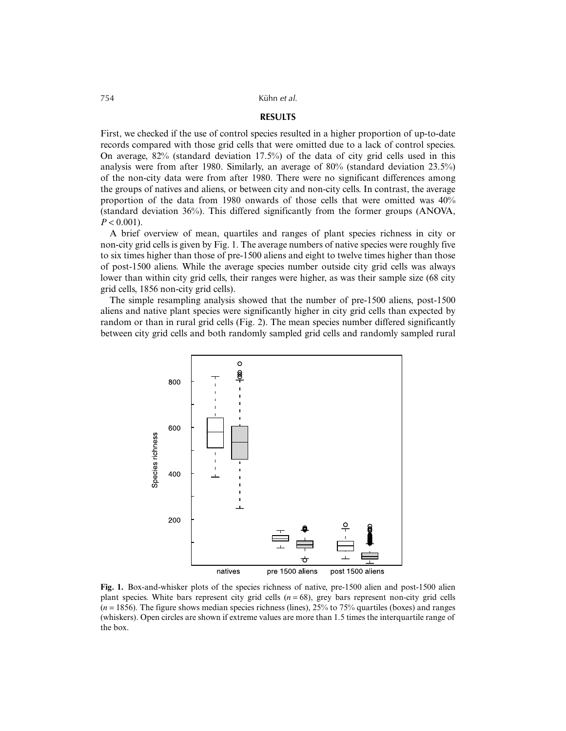# **RESULTS**

First, we checked if the use of control species resulted in a higher proportion of up-to-date records compared with those grid cells that were omitted due to a lack of control species. On average,  $82\%$  (standard deviation 17.5%) of the data of city grid cells used in this analysis were from after 1980. Similarly, an average of 80% (standard deviation 23.5%) of the non-city data were from after 1980. There were no significant differences among the groups of natives and aliens, or between city and non-city cells. In contrast, the average proportion of the data from 1980 onwards of those cells that were omitted was 40% (standard deviation 36%). This differed significantly from the former groups (ANOVA,  $P < 0.001$ ).

A brief overview of mean, quartiles and ranges of plant species richness in city or non-city grid cells is given by Fig. 1. The average numbers of native species were roughly five to six times higher than those of pre-1500 aliens and eight to twelve times higher than those of post-1500 aliens. While the average species number outside city grid cells was always lower than within city grid cells, their ranges were higher, as was their sample size (68 city grid cells, 1856 non-city grid cells).

The simple resampling analysis showed that the number of pre-1500 aliens, post-1500 aliens and native plant species were significantly higher in city grid cells than expected by random or than in rural grid cells (Fig. 2). The mean species number differed significantly between city grid cells and both randomly sampled grid cells and randomly sampled rural



**Fig. 1.** Box-and-whisker plots of the species richness of native, pre-1500 alien and post-1500 alien plant species. White bars represent city grid cells  $(n = 68)$ , grey bars represent non-city grid cells (*n* = 1856). The figure shows median species richness (lines), 25% to 75% quartiles (boxes) and ranges (whiskers). Open circles are shown if extreme values are more than 1.5 times the interquartile range of the box.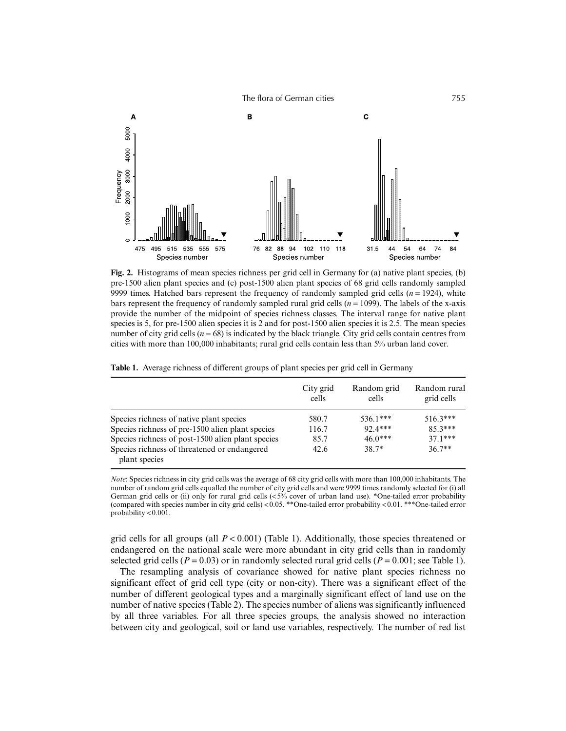

**Fig. 2.** Histograms of mean species richness per grid cell in Germany for (a) native plant species, (b) pre-1500 alien plant species and (c) post-1500 alien plant species of 68 grid cells randomly sampled 9999 times. Hatched bars represent the frequency of randomly sampled grid cells  $(n = 1924)$ , white bars represent the frequency of randomly sampled rural grid cells  $(n = 1099)$ . The labels of the x-axis provide the number of the midpoint of species richness classes. The interval range for native plant species is 5, for pre-1500 alien species it is 2 and for post-1500 alien species it is 2.5. The mean species number of city grid cells ( $n = 68$ ) is indicated by the black triangle. City grid cells contain centres from cities with more than 100,000 inhabitants; rural grid cells contain less than 5% urban land cover.

|  | Table 1. Average richness of different groups of plant species per grid cell in Germany |  |  |  |  |  |  |  |
|--|-----------------------------------------------------------------------------------------|--|--|--|--|--|--|--|
|--|-----------------------------------------------------------------------------------------|--|--|--|--|--|--|--|

|                                                               | City grid<br>cells | Random grid<br>cells | Random rural<br>grid cells |
|---------------------------------------------------------------|--------------------|----------------------|----------------------------|
| Species richness of native plant species                      | 580.7              | $536.1***$           | $516.3***$                 |
| Species richness of pre-1500 alien plant species              | 116.7              | $92.4***$            | $85.3***$                  |
| Species richness of post-1500 alien plant species             | 85.7               | $46.0***$            | $37.1***$                  |
| Species richness of threatened or endangered<br>plant species | 42.6               | $38.7*$              | $36.7**$                   |

*Note*: Species richness in city grid cells was the average of 68 city grid cells with more than 100,000 inhabitants. The number of random grid cells equalled the number of city grid cells and were 9999 times randomly selected for (i) all German grid cells or (ii) only for rural grid cells  $\langle$ <5% cover of urban land use). \*One-tailed error probability (compared with species number in city grid cells) <0.05. \*\*One-tailed error probability <0.01. \*\*\*One-tailed error probability <0.001.

grid cells for all groups (all  $P < 0.001$ ) (Table 1). Additionally, those species threatened or endangered on the national scale were more abundant in city grid cells than in randomly selected grid cells ( $P = 0.03$ ) or in randomly selected rural grid cells ( $P = 0.001$ ; see Table 1).

The resampling analysis of covariance showed for native plant species richness no significant effect of grid cell type (city or non-city). There was a significant effect of the number of different geological types and a marginally significant effect of land use on the number of native species (Table 2). The species number of aliens was significantly influenced by all three variables. For all three species groups, the analysis showed no interaction between city and geological, soil or land use variables, respectively. The number of red list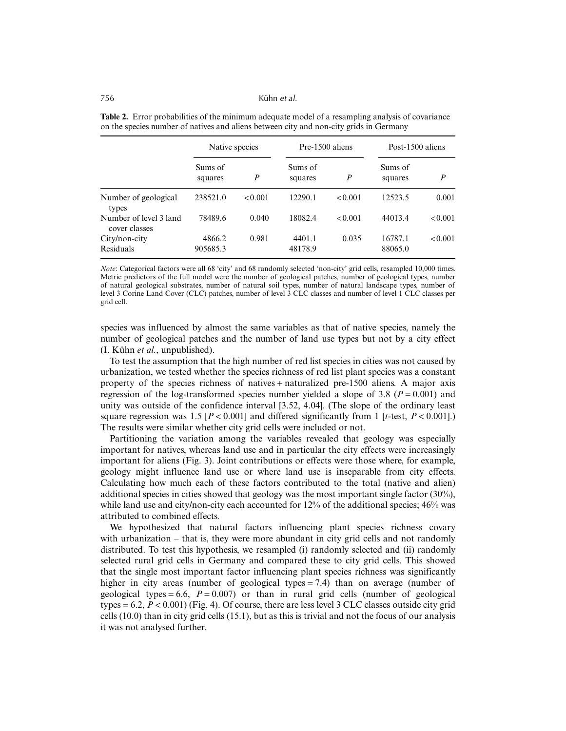|                                         | Native species     |                  | Pre-1500 aliens    |                  | Post-1500 aliens   |                  |
|-----------------------------------------|--------------------|------------------|--------------------|------------------|--------------------|------------------|
|                                         | Sums of<br>squares | $\boldsymbol{P}$ | Sums of<br>squares | $\boldsymbol{P}$ | Sums of<br>squares | $\boldsymbol{P}$ |
| Number of geological<br>types           | 238521.0           | < 0.001          | 12290.1            | < 0.001          | 12523.5            | 0.001            |
| Number of level 3 land<br>cover classes | 78489.6            | 0.040            | 18082.4            | < 0.001          | 44013.4            | < 0.001          |
| City/non-city<br>Residuals              | 4866.2<br>905685.3 | 0.981            | 4401.1<br>48178.9  | 0.035            | 16787.1<br>88065.0 | < 0.001          |

**Table 2.** Error probabilities of the minimum adequate model of a resampling analysis of covariance on the species number of natives and aliens between city and non-city grids in Germany

*Note*: Categorical factors were all 68 'city' and 68 randomly selected 'non-city' grid cells, resampled 10,000 times. Metric predictors of the full model were the number of geological patches, number of geological types, number of natural geological substrates, number of natural soil types, number of natural landscape types, number of level 3 Corine Land Cover (CLC) patches, number of level 3 CLC classes and number of level 1 CLC classes per grid cell.

species was influenced by almost the same variables as that of native species, namely the number of geological patches and the number of land use types but not by a city effect (I. Kühn *et al.*, unpublished).

To test the assumption that the high number of red list species in cities was not caused by urbanization, we tested whether the species richness of red list plant species was a constant property of the species richness of natives + naturalized pre-1500 aliens. A major axis regression of the log-transformed species number yielded a slope of 3.8 ( $P = 0.001$ ) and unity was outside of the confidence interval [3.52, 4.04]. (The slope of the ordinary least square regression was 1.5  $[P < 0.001]$  and differed significantly from 1  $[t-test, P < 0.001]$ .) The results were similar whether city grid cells were included or not.

Partitioning the variation among the variables revealed that geology was especially important for natives, whereas land use and in particular the city effects were increasingly important for aliens (Fig. 3). Joint contributions or effects were those where, for example, geology might influence land use or where land use is inseparable from city effects. Calculating how much each of these factors contributed to the total (native and alien) additional species in cities showed that geology was the most important single factor (30%), while land use and city/non-city each accounted for 12% of the additional species; 46% was attributed to combined effects.

We hypothesized that natural factors influencing plant species richness covary with urbanization – that is, they were more abundant in city grid cells and not randomly distributed. To test this hypothesis, we resampled (i) randomly selected and (ii) randomly selected rural grid cells in Germany and compared these to city grid cells. This showed that the single most important factor influencing plant species richness was significantly higher in city areas (number of geological types = 7.4) than on average (number of geological types  $= 6.6$ ,  $P = 0.007$ ) or than in rural grid cells (number of geological types  $= 6.2$ ,  $P < 0.001$ ) (Fig. 4). Of course, there are less level 3 CLC classes outside city grid cells (10.0) than in city grid cells (15.1), but as this is trivial and not the focus of our analysis it was not analysed further.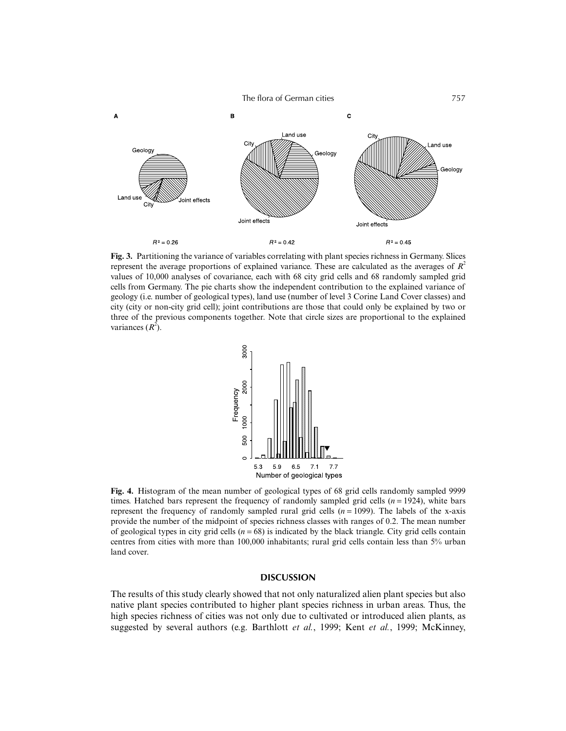

**Fig. 3.** Partitioning the variance of variables correlating with plant species richness in Germany. Slices represent the average proportions of explained variance. These are calculated as the averages of  $R^2$ values of 10,000 analyses of covariance, each with 68 city grid cells and 68 randomly sampled grid cells from Germany. The pie charts show the independent contribution to the explained variance of geology (i.e. number of geological types), land use (number of level 3 Corine Land Cover classes) and city (city or non-city grid cell); joint contributions are those that could only be explained by two or three of the previous components together. Note that circle sizes are proportional to the explained variances  $(R^2)$ .



**Fig. 4.** Histogram of the mean number of geological types of 68 grid cells randomly sampled 9999 times. Hatched bars represent the frequency of randomly sampled grid cells (*n* = 1924), white bars represent the frequency of randomly sampled rural grid cells  $(n = 1099)$ . The labels of the x-axis provide the number of the midpoint of species richness classes with ranges of 0.2. The mean number of geological types in city grid cells  $(n = 68)$  is indicated by the black triangle. City grid cells contain centres from cities with more than 100,000 inhabitants; rural grid cells contain less than 5% urban land cover.

# **DISCUSSION**

The results of this study clearly showed that not only naturalized alien plant species but also native plant species contributed to higher plant species richness in urban areas. Thus, the high species richness of cities was not only due to cultivated or introduced alien plants, as suggested by several authors (e.g. Barthlott *et al.*, 1999; Kent *et al.*, 1999; McKinney,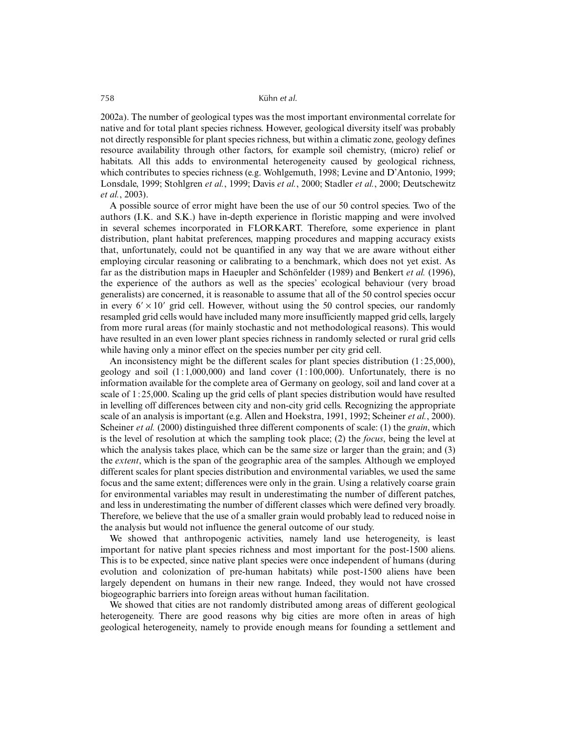2002a). The number of geological types was the most important environmental correlate for native and for total plant species richness. However, geological diversity itself was probably not directly responsible for plant species richness, but within a climatic zone, geology defines resource availability through other factors, for example soil chemistry, (micro) relief or habitats. All this adds to environmental heterogeneity caused by geological richness, which contributes to species richness (e.g. Wohlgemuth, 1998; Levine and D'Antonio, 1999; Lonsdale, 1999; Stohlgren *et al.*, 1999; Davis *et al.*, 2000; Stadler *et al.*, 2000; Deutschewitz *et al.*, 2003).

A possible source of error might have been the use of our 50 control species. Two of the authors (I.K. and S.K.) have in-depth experience in floristic mapping and were involved in several schemes incorporated in FLORKART. Therefore, some experience in plant distribution, plant habitat preferences, mapping procedures and mapping accuracy exists that, unfortunately, could not be quantified in any way that we are aware without either employing circular reasoning or calibrating to a benchmark, which does not yet exist. As far as the distribution maps in Haeupler and Schönfelder (1989) and Benkert *et al.* (1996), the experience of the authors as well as the species' ecological behaviour (very broad generalists) are concerned, it is reasonable to assume that all of the 50 control species occur in every  $6' \times 10'$  grid cell. However, without using the 50 control species, our randomly resampled grid cells would have included many more insufficiently mapped grid cells, largely from more rural areas (for mainly stochastic and not methodological reasons). This would have resulted in an even lower plant species richness in randomly selected or rural grid cells while having only a minor effect on the species number per city grid cell.

An inconsistency might be the different scales for plant species distribution  $(1:25,000)$ , geology and soil  $(1:1,000,000)$  and land cover  $(1:100,000)$ . Unfortunately, there is no information available for the complete area of Germany on geology, soil and land cover at a scale of 1 : 25,000. Scaling up the grid cells of plant species distribution would have resulted in levelling off differences between city and non-city grid cells. Recognizing the appropriate scale of an analysis is important (e.g. Allen and Hoekstra, 1991, 1992; Scheiner *et al.*, 2000). Scheiner *et al.* (2000) distinguished three different components of scale: (1) the *grain*, which is the level of resolution at which the sampling took place; (2) the *focus*, being the level at which the analysis takes place, which can be the same size or larger than the grain; and (3) the *extent*, which is the span of the geographic area of the samples. Although we employed different scales for plant species distribution and environmental variables, we used the same focus and the same extent; differences were only in the grain. Using a relatively coarse grain for environmental variables may result in underestimating the number of different patches, and less in underestimating the number of different classes which were defined very broadly. Therefore, we believe that the use of a smaller grain would probably lead to reduced noise in the analysis but would not influence the general outcome of our study.

We showed that anthropogenic activities, namely land use heterogeneity, is least important for native plant species richness and most important for the post-1500 aliens. This is to be expected, since native plant species were once independent of humans (during evolution and colonization of pre-human habitats) while post-1500 aliens have been largely dependent on humans in their new range. Indeed, they would not have crossed biogeographic barriers into foreign areas without human facilitation.

We showed that cities are not randomly distributed among areas of different geological heterogeneity. There are good reasons why big cities are more often in areas of high geological heterogeneity, namely to provide enough means for founding a settlement and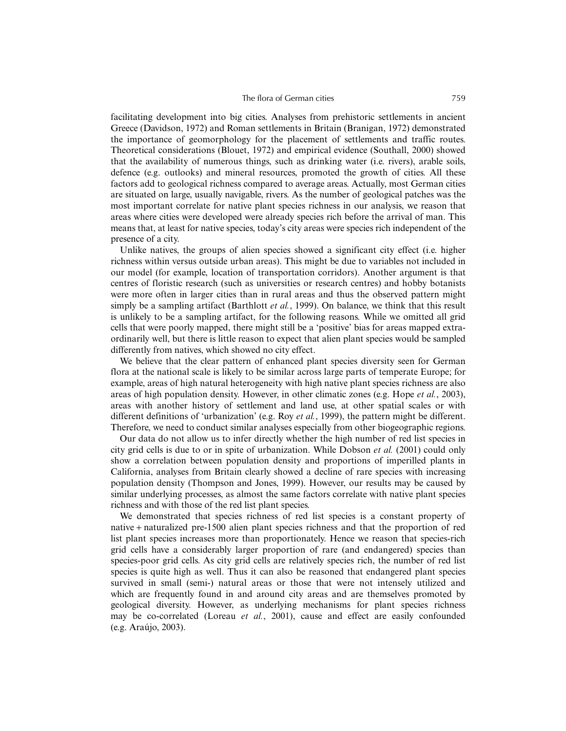facilitating development into big cities. Analyses from prehistoric settlements in ancient Greece (Davidson, 1972) and Roman settlements in Britain (Branigan, 1972) demonstrated the importance of geomorphology for the placement of settlements and traffic routes. Theoretical considerations (Blouet, 1972) and empirical evidence (Southall, 2000) showed that the availability of numerous things, such as drinking water (i.e. rivers), arable soils, defence (e.g. outlooks) and mineral resources, promoted the growth of cities. All these factors add to geological richness compared to average areas. Actually, most German cities are situated on large, usually navigable, rivers. As the number of geological patches was the most important correlate for native plant species richness in our analysis, we reason that areas where cities were developed were already species rich before the arrival of man. This means that, at least for native species, today's city areas were species rich independent of the presence of a city.

Unlike natives, the groups of alien species showed a significant city effect (i.e. higher richness within versus outside urban areas). This might be due to variables not included in our model (for example, location of transportation corridors). Another argument is that centres of floristic research (such as universities or research centres) and hobby botanists were more often in larger cities than in rural areas and thus the observed pattern might simply be a sampling artifact (Barthlott *et al.*, 1999). On balance, we think that this result is unlikely to be a sampling artifact, for the following reasons. While we omitted all grid cells that were poorly mapped, there might still be a 'positive' bias for areas mapped extraordinarily well, but there is little reason to expect that alien plant species would be sampled differently from natives, which showed no city effect.

We believe that the clear pattern of enhanced plant species diversity seen for German flora at the national scale is likely to be similar across large parts of temperate Europe; for example, areas of high natural heterogeneity with high native plant species richness are also areas of high population density. However, in other climatic zones (e.g. Hope *et al.*, 2003), areas with another history of settlement and land use, at other spatial scales or with different definitions of 'urbanization' (e.g. Roy *et al.*, 1999), the pattern might be different. Therefore, we need to conduct similar analyses especially from other biogeographic regions.

Our data do not allow us to infer directly whether the high number of red list species in city grid cells is due to or in spite of urbanization. While Dobson *et al.* (2001) could only show a correlation between population density and proportions of imperilled plants in California, analyses from Britain clearly showed a decline of rare species with increasing population density (Thompson and Jones, 1999). However, our results may be caused by similar underlying processes, as almost the same factors correlate with native plant species richness and with those of the red list plant species.

We demonstrated that species richness of red list species is a constant property of native + naturalized pre-1500 alien plant species richness and that the proportion of red list plant species increases more than proportionately. Hence we reason that species-rich grid cells have a considerably larger proportion of rare (and endangered) species than species-poor grid cells. As city grid cells are relatively species rich, the number of red list species is quite high as well. Thus it can also be reasoned that endangered plant species survived in small (semi-) natural areas or those that were not intensely utilized and which are frequently found in and around city areas and are themselves promoted by geological diversity. However, as underlying mechanisms for plant species richness may be co-correlated (Loreau *et al.*, 2001), cause and effect are easily confounded (e.g. Araújo, 2003).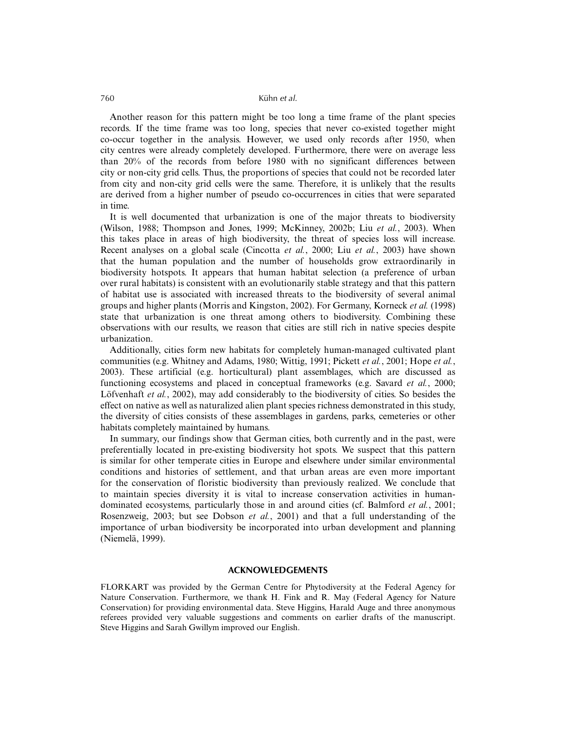Another reason for this pattern might be too long a time frame of the plant species records. If the time frame was too long, species that never co-existed together might co-occur together in the analysis. However, we used only records after 1950, when city centres were already completely developed. Furthermore, there were on average less than 20% of the records from before 1980 with no significant differences between city or non-city grid cells. Thus, the proportions of species that could not be recorded later from city and non-city grid cells were the same. Therefore, it is unlikely that the results are derived from a higher number of pseudo co-occurrences in cities that were separated in time.

It is well documented that urbanization is one of the major threats to biodiversity (Wilson, 1988; Thompson and Jones, 1999; McKinney, 2002b; Liu *et al.*, 2003). When this takes place in areas of high biodiversity, the threat of species loss will increase. Recent analyses on a global scale (Cincotta *et al.*, 2000; Liu *et al.*, 2003) have shown that the human population and the number of households grow extraordinarily in biodiversity hotspots. It appears that human habitat selection (a preference of urban over rural habitats) is consistent with an evolutionarily stable strategy and that this pattern of habitat use is associated with increased threats to the biodiversity of several animal groups and higher plants (Morris and Kingston, 2002). For Germany, Korneck *et al.* (1998) state that urbanization is one threat among others to biodiversity. Combining these observations with our results, we reason that cities are still rich in native species despite urbanization.

Additionally, cities form new habitats for completely human-managed cultivated plant communities (e.g. Whitney and Adams, 1980; Wittig, 1991; Pickett *et al.*, 2001; Hope *et al.*, 2003). These artificial (e.g. horticultural) plant assemblages, which are discussed as functioning ecosystems and placed in conceptual frameworks (e.g. Savard *et al.*, 2000; Löfvenhaft *et al.*, 2002), may add considerably to the biodiversity of cities. So besides the effect on native as well as naturalized alien plant species richness demonstrated in this study, the diversity of cities consists of these assemblages in gardens, parks, cemeteries or other habitats completely maintained by humans.

In summary, our findings show that German cities, both currently and in the past, were preferentially located in pre-existing biodiversity hot spots. We suspect that this pattern is similar for other temperate cities in Europe and elsewhere under similar environmental conditions and histories of settlement, and that urban areas are even more important for the conservation of floristic biodiversity than previously realized. We conclude that to maintain species diversity it is vital to increase conservation activities in humandominated ecosystems, particularly those in and around cities (cf. Balmford *et al.*, 2001; Rosenzweig, 2003; but see Dobson *et al.*, 2001) and that a full understanding of the importance of urban biodiversity be incorporated into urban development and planning (Niemelä, 1999).

### **ACKNOWLEDGEMENTS**

FLORKART was provided by the German Centre for Phytodiversity at the Federal Agency for Nature Conservation. Furthermore, we thank H. Fink and R. May (Federal Agency for Nature Conservation) for providing environmental data. Steve Higgins, Harald Auge and three anonymous referees provided very valuable suggestions and comments on earlier drafts of the manuscript. Steve Higgins and Sarah Gwillym improved our English.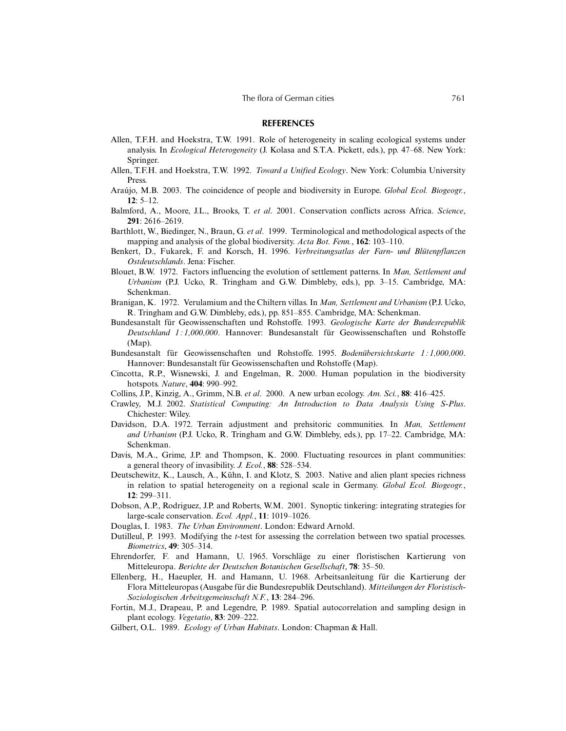### **REFERENCES**

- Allen, T.F.H. and Hoekstra, T.W. 1991. Role of heterogeneity in scaling ecological systems under analysis. In *Ecological Heterogeneity* (J. Kolasa and S.T.A. Pickett, eds.), pp. 47–68. New York: Springer.
- Allen, T.F.H. and Hoekstra, T.W. 1992. *Toward a Unified Ecology*. New York: Columbia University Press.
- Araújo, M.B. 2003. The coincidence of people and biodiversity in Europe. *Global Ecol. Biogeogr.*, **12**: 5–12.
- Balmford, A., Moore, J.L., Brooks, T. *et al*. 2001. Conservation conflicts across Africa. *Science*, **291**: 2616–2619.
- Barthlott, W., Biedinger, N., Braun, G. *et al*. 1999. Terminological and methodological aspects of the mapping and analysis of the global biodiversity. *Acta Bot. Fenn.*, **162**: 103–110.
- Benkert, D., Fukarek, F. and Korsch, H. 1996. *Verbreitungsatlas der Farn- und Blütenpflanzen Ostdeutschlands*. Jena: Fischer.
- Blouet, B.W. 1972. Factors influencing the evolution of settlement patterns. In *Man, Settlement and Urbanism* (P.J. Ucko, R. Tringham and G.W. Dimbleby, eds.), pp. 3–15. Cambridge, MA: Schenkman.
- Branigan, K. 1972. Verulamium and the Chiltern villas. In *Man, Settlement and Urbanism* (P.J. Ucko, R. Tringham and G.W. Dimbleby, eds.), pp. 851–855. Cambridge, MA: Schenkman.
- Bundesanstalt für Geowissenschaften und Rohstoffe. 1993. *Geologische Karte der Bundesrepublik Deutschland 1 : 1,000,000*. Hannover: Bundesanstalt für Geowissenschaften und Rohstoffe (Map).
- Bundesanstalt für Geowissenschaften und Rohstoffe. 1995. *Bodenübersichtskarte 1 : 1,000,000*. Hannover: Bundesanstalt für Geowissenschaften und Rohstoffe (Map).
- Cincotta, R.P., Wisnewski, J. and Engelman, R. 2000. Human population in the biodiversity hotspots. *Nature*, **404**: 990–992.
- Collins, J.P., Kinzig, A., Grimm, N.B. *et al*. 2000. A new urban ecology. *Am. Sci.*, **88**: 416–425.
- Crawley, M.J. 2002. *Statistical Computing: An Introduction to Data Analysis Using S-Plus*. Chichester: Wiley.
- Davidson, D.A. 1972. Terrain adjustment and prehsitoric communities. In *Man, Settlement and Urbanism* (P.J. Ucko, R. Tringham and G.W. Dimbleby, eds.), pp. 17–22. Cambridge, MA: Schenkman.
- Davis, M.A., Grime, J.P. and Thompson, K. 2000. Fluctuating resources in plant communities: a general theory of invasibility. *J. Ecol.*, **88**: 528–534.
- Deutschewitz, K., Lausch, A., Kühn, I. and Klotz, S. 2003. Native and alien plant species richness in relation to spatial heterogeneity on a regional scale in Germany. *Global Ecol. Biogeogr.*, **12**: 299–311.
- Dobson, A.P., Rodriguez, J.P. and Roberts, W.M. 2001. Synoptic tinkering: integrating strategies for large-scale conservation. *Ecol. Appl.*, **11**: 1019–1026.
- Douglas, I. 1983. *The Urban Environment*. London: Edward Arnold.
- Dutilleul, P. 1993. Modifying the *t*-test for assessing the correlation between two spatial processes. *Biometrics*, **49**: 305–314.
- Ehrendorfer, F. and Hamann, U. 1965. Vorschläge zu einer floristischen Kartierung von Mitteleuropa. *Berichte der Deutschen Botanischen Gesellschaft*, **78**: 35–50.
- Ellenberg, H., Haeupler, H. and Hamann, U. 1968. Arbeitsanleitung für die Kartierung der Flora Mitteleuropas (Ausgabe für die Bundesrepublik Deutschland). *Mitteilungen der Floristisch-Soziologischen Arbeitsgemeinschaft N.F.*, **13**: 284–296.
- Fortin, M.J., Drapeau, P. and Legendre, P. 1989. Spatial autocorrelation and sampling design in plant ecology. *Vegetatio*, **83**: 209–222.
- Gilbert, O.L. 1989. *Ecology of Urban Habitats*. London: Chapman & Hall.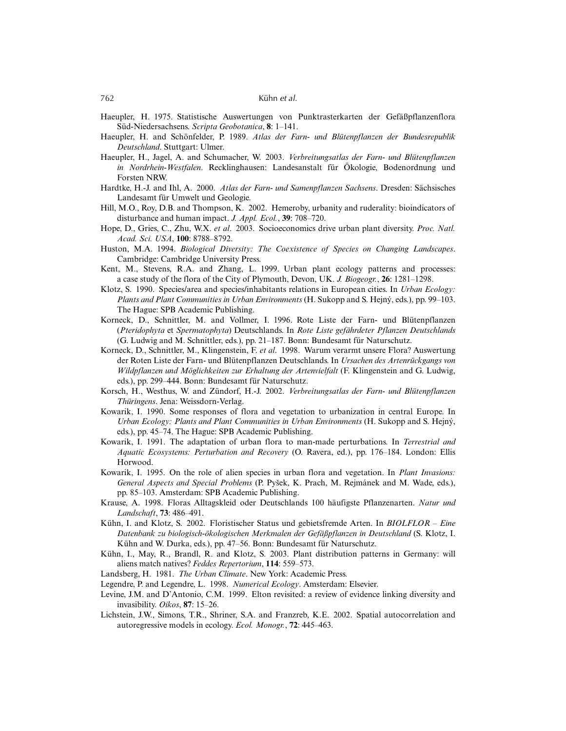- Haeupler, H. 1975. Statistische Auswertungen von Punktrasterkarten der Gefäßpflanzenflora Süd-Niedersachsens. *Scripta Geobotanica*, **8**: 1–141.
- Haeupler, H. and Schönfelder, P. 1989. *Atlas der Farn- und Blütenpflanzen der Bundesrepublik Deutschland*. Stuttgart: Ulmer.
- Haeupler, H., Jagel, A. and Schumacher, W. 2003. *Verbreitungsatlas der Farn- und Blütenpflanzen in Nordrhein-Westfalen*. Recklinghausen: Landesanstalt für Ökologie, Bodenordnung und Forsten NRW.
- Hardtke, H.-J. and Ihl, A. 2000. *Atlas der Farn- und Samenpflanzen Sachsens*. Dresden: Sächsisches Landesamt für Umwelt und Geologie.
- Hill, M.O., Roy, D.B. and Thompson, K. 2002. Hemeroby, urbanity and ruderality: bioindicators of disturbance and human impact. *J. Appl. Ecol.*, **39**: 708–720.
- Hope, D., Gries, C., Zhu, W.X. *et al*. 2003. Socioeconomics drive urban plant diversity. *Proc. Natl. Acad. Sci. USA*, **100**: 8788–8792.
- Huston, M.A. 1994. *Biological Diversity: The Coexistence of Species on Changing Landscapes*. Cambridge: Cambridge University Press.
- Kent, M., Stevens, R.A. and Zhang, L. 1999. Urban plant ecology patterns and processes: a case study of the flora of the City of Plymouth, Devon, UK. *J. Biogeogr.*, **26**: 1281–1298.
- Klotz, S. 1990. Species/area and species/inhabitants relations in European cities. In *Urban Ecology: Plants and Plant Communities in Urban Environments* (H. Sukopp and S. Hejný, eds.), pp. 99–103. The Hague: SPB Academic Publishing.
- Korneck, D., Schnittler, M. and Vollmer, I. 1996. Rote Liste der Farn- und Blütenpflanzen (*Pteridophyta* et *Spermatophyta*) Deutschlands. In *Rote Liste gefährdeter Pflanzen Deutschlands* (G. Ludwig and M. Schnittler, eds.), pp. 21–187. Bonn: Bundesamt für Naturschutz.
- Korneck, D., Schnittler, M., Klingenstein, F. *et al*. 1998. Warum verarmt unsere Flora? Auswertung der Roten Liste der Farn- und Blütenpflanzen Deutschlands. In *Ursachen des Artenrückgangs von Wildpflanzen und Möglichkeiten zur Erhaltung der Artenvielfalt* (F. Klingenstein and G. Ludwig, eds.), pp. 299–444. Bonn: Bundesamt für Naturschutz.
- Korsch, H., Westhus, W. and Zündorf, H.-J. 2002. *Verbreitungsatlas der Farn- und Blütenpflanzen Thüringens*. Jena: Weissdorn-Verlag.
- Kowarik, I. 1990. Some responses of flora and vegetation to urbanization in central Europe. In *Urban Ecology: Plants and Plant Communities in Urban Environments* (H. Sukopp and S. Hejný, eds.), pp. 45–74. The Hague: SPB Academic Publishing.
- Kowarik, I. 1991. The adaptation of urban flora to man-made perturbations. In *Terrestrial and Aquatic Ecosystems: Perturbation and Recovery* (O. Ravera, ed.), pp. 176–184. London: Ellis Horwood.
- Kowarik, I. 1995. On the role of alien species in urban flora and vegetation. In *Plant Invasions:* General Aspects and Special Problems (P. Pyšek, K. Prach, M. Rejmánek and M. Wade, eds.), pp. 85–103. Amsterdam: SPB Academic Publishing.
- Krause, A. 1998. Floras Alltagskleid oder Deutschlands 100 häufigste Pflanzenarten. *Natur und Landschaft*, **73**: 486–491.
- Kühn, I. and Klotz, S. 2002. Floristischer Status und gebietsfremde Arten. In *BIOLFLOR Eine Datenbank zu biologisch-ökologischen Merkmalen der Gefäßpflanzen in Deutschland* (S. Klotz, I. Kühn and W. Durka, eds.), pp. 47–56. Bonn: Bundesamt für Naturschutz.
- Kühn, I., May, R., Brandl, R. and Klotz, S. 2003. Plant distribution patterns in Germany: will aliens match natives? *Feddes Repertorium*, **114**: 559–573.
- Landsberg, H. 1981. *The Urban Climate*. New York: Academic Press.
- Legendre, P. and Legendre, L. 1998. *Numerical Ecology*. Amsterdam: Elsevier.
- Levine, J.M. and D'Antonio, C.M. 1999. Elton revisited: a review of evidence linking diversity and invasibility. *Oikos*, **87**: 15–26.
- Lichstein, J.W., Simons, T.R., Shriner, S.A. and Franzreb, K.E. 2002. Spatial autocorrelation and autoregressive models in ecology. *Ecol. Monogr.*, **72**: 445–463.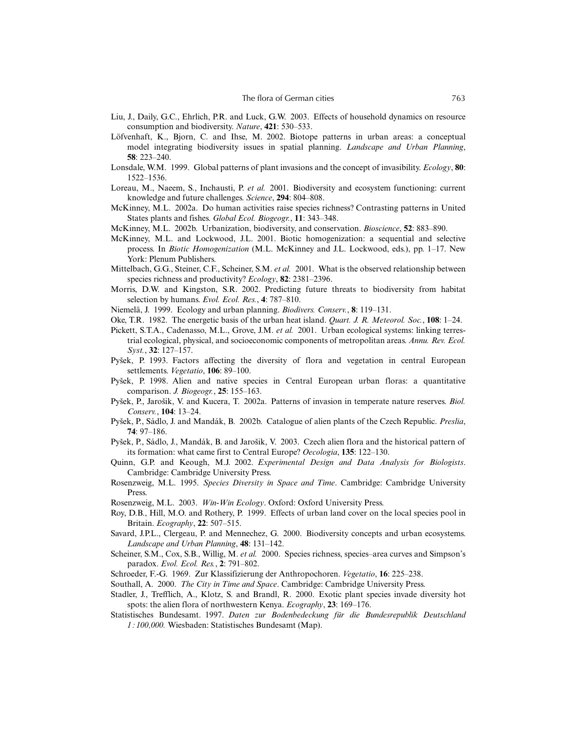- Liu, J., Daily, G.C., Ehrlich, P.R. and Luck, G.W. 2003. Effects of household dynamics on resource consumption and biodiversity. *Nature*, **421**: 530–533.
- Löfvenhaft, K., Bjorn, C. and Ihse, M. 2002. Biotope patterns in urban areas: a conceptual model integrating biodiversity issues in spatial planning. *Landscape and Urban Planning*, **58**: 223–240.
- Lonsdale, W.M. 1999. Global patterns of plant invasions and the concept of invasibility. *Ecology*, **80**: 1522–1536.
- Loreau, M., Naeem, S., Inchausti, P. *et al.* 2001. Biodiversity and ecosystem functioning: current knowledge and future challenges. *Science*, **294**: 804–808.
- McKinney, M.L. 2002a. Do human activities raise species richness? Contrasting patterns in United States plants and fishes. *Global Ecol. Biogeogr.*, **11**: 343–348.
- McKinney, M.L. 2002b. Urbanization, biodiversity, and conservation. *Bioscience*, **52**: 883–890.
- McKinney, M.L. and Lockwood, J.L. 2001. Biotic homogenization: a sequential and selective process. In *Biotic Homogenization* (M.L. McKinney and J.L. Lockwood, eds.), pp. 1–17. New York: Plenum Publishers.
- Mittelbach, G.G., Steiner, C.F., Scheiner, S.M. *et al.* 2001. What is the observed relationship between species richness and productivity? *Ecology*, **82**: 2381–2396.
- Morris, D.W. and Kingston, S.R. 2002. Predicting future threats to biodiversity from habitat selection by humans. *Evol. Ecol. Res.*, **4**: 787–810.
- Niemelä, J. 1999. Ecology and urban planning. *Biodivers. Conserv.*, **8**: 119–131.
- Oke, T.R. 1982. The energetic basis of the urban heat island. *Quart. J. R. Meteorol. Soc.*, **108**: 1–24.
- Pickett, S.T.A., Cadenasso, M.L., Grove, J.M. *et al.* 2001. Urban ecological systems: linking terrestrial ecological, physical, and socioeconomic components of metropolitan areas. *Annu. Rev. Ecol. Syst.*, **32**: 127–157.
- Pyšek, P. 1993. Factors affecting the diversity of flora and vegetation in central European settlements. *Vegetatio*, **106**: 89–100.
- Pyšek, P. 1998. Alien and native species in Central European urban floras: a quantitative comparison. *J. Biogeogr.*, **25**: 155–163.
- Pyšek, P., Jarošik, V. and Kucera, T. 2002a. Patterns of invasion in temperate nature reserves. *Biol. Conserv.*, **104**: 13–24.
- Pyšek, P., Sádlo, J. and Mandák, B. 2002b. Catalogue of alien plants of the Czech Republic. *Preslia*, **74**: 97–186.
- Pyšek, P., Sádlo, J., Mandák, B. and Jarošik, V. 2003. Czech alien flora and the historical pattern of its formation: what came first to Central Europe? *Oecologia*, **135**: 122–130.
- Quinn, G.P. and Keough, M.J. 2002. *Experimental Design and Data Analysis for Biologists*. Cambridge: Cambridge University Press.
- Rosenzweig, M.L. 1995. *Species Diversity in Space and Time*. Cambridge: Cambridge University Press.
- Rosenzweig, M.L. 2003. *Win-Win Ecology*. Oxford: Oxford University Press.
- Roy, D.B., Hill, M.O. and Rothery, P. 1999. Effects of urban land cover on the local species pool in Britain. *Ecography*, **22**: 507–515.
- Savard, J.P.L., Clergeau, P. and Mennechez, G. 2000. Biodiversity concepts and urban ecosystems. *Landscape and Urban Planning*, **48**: 131–142.
- Scheiner, S.M., Cox, S.B., Willig, M. *et al.* 2000. Species richness, species–area curves and Simpson's paradox. *Evol. Ecol. Res.*, **2**: 791–802.
- Schroeder, F.-G. 1969. Zur Klassifizierung der Anthropochoren. *Vegetatio*, **16**: 225–238.
- Southall, A. 2000. *The City in Time and Space*. Cambridge: Cambridge University Press.
- Stadler, J., Trefflich, A., Klotz, S. and Brandl, R. 2000. Exotic plant species invade diversity hot spots: the alien flora of northwestern Kenya. *Ecography*, **23**: 169–176.
- Statistisches Bundesamt. 1997. *Daten zur Bodenbedeckung für die Bundesrepublik Deutschland 1 : 100,000.* Wiesbaden: Statistisches Bundesamt (Map).